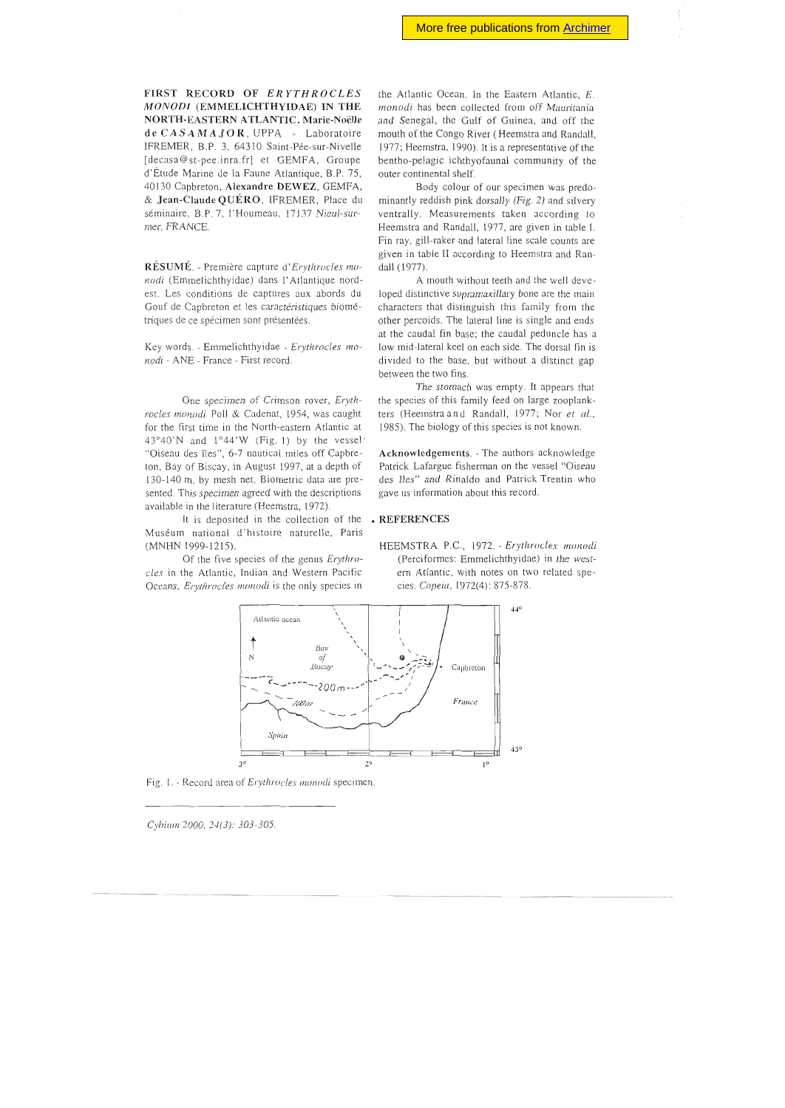FIRST RECORD OF *ERYTHROCLES MONODl* (EMMELLCHTHYIDAE) IN THE NORTH-EASTERN ATLANTIC. Marie-Noëlle de CASAMAJOR, UPPA - Laboratoire IFREMER, B.P. 3, 64310 Saint-Pée-sur-Nivelle [decasa@st-pee.inra.fr] et GEMFA, Groupe d'Étude Marine de la Faune Atlantique, B.P. 75, 40130 Capbreton, Alexandre DEWEZ, GEMFA. & Jean-Claude QUÉRO, IFREMER, Place du séminaire, B.P. 7, l'Houmeau, 17137 Nieul-surmer, FRANCE

RÉSUMÉ. - Première capture d' *Erythrocles mo nodi* (Emmelichthyidae) dans l'Atlantique nordest. Les conditions de captures aux abords du Gouf de Capbreton et les caractéristiques biométriques de ce spécimen sont présentées.

Key words. - Emmelichthyidae - Erythrocles mo*nodi* - ANE - France - First record.

One specimen of Crimson rovcr, *Eryth*rocles monodi Poll & Cadenat, 1954, was caught for the first time in the North-eastern Atlantic at  $43^{\circ}40'$ N and  $1^{\circ}44'$ W (Fig. 1) by the vessel' "Oiseau des îles", 6-7 nauticai miles off Capbreton, Bay of Biscay, in August 1997, at a depth of 130-140 m, by mesh net. Biometric data are presented. This specimen agreed with the descriptions available in the literature (Hecmstra, 1972).

It is deposited in the collection of the Muséum national d'histoire naturelle, Paris (MNHN 1999-1215).

Of the five species of the genus *Erythrodes* in the Atlantic, Indian and Western Pacifie Oceans, *Erythrocles monodi* is the only species in the Atlantic Ocean. In the Eastern Atlantic, E *monodi* has been collected from off Mauritania and Senegal, the Gulf of Guinea, and off the mouth of the Congo River (Heemstra and Randall, 1977; Heemstra, 1990). It is a representative of the bentho-pelagic ichthyofaunal community of the outer continental shelf.

Body colour of our specimen was predominantly reddish pink dorsally (Fig. 2) and silvery ventrally. Measurements taken according to Heemstra and Randall, 1977, are given in table I. Fin ray, gill-raker and lateral line scale counts are given in table Il according to Heemstra and Randall (1977)

A mouth without teeth and the weil developed distinctive supramaxillary bone are the main characters that distinguish this family from the other percoids. The lateral line is single and ends at the caudal fin base; the caudal peduncle has a low mid-Iateral keel on each side. The dorsal fin is divided to the base, but without a distinct gap between the two fins.

The stomach was empty. It appears that the species of this family feed on large zooplankters (Heemstra and Randall, 1977; Nor et al., 1985). The biology of this species is not known.

Acknowledgements. - The authors acknowledge Patrick Lafargue fisherman on the vessel "Oiseau des Iles" and Rinaldo and Patrick Trentin who gave us information about this record.

## • REFERENCES





Fig. 1. - Record area of *Erythrocles monodi* specimen.

Cybium 2000, 24(3): 303-305.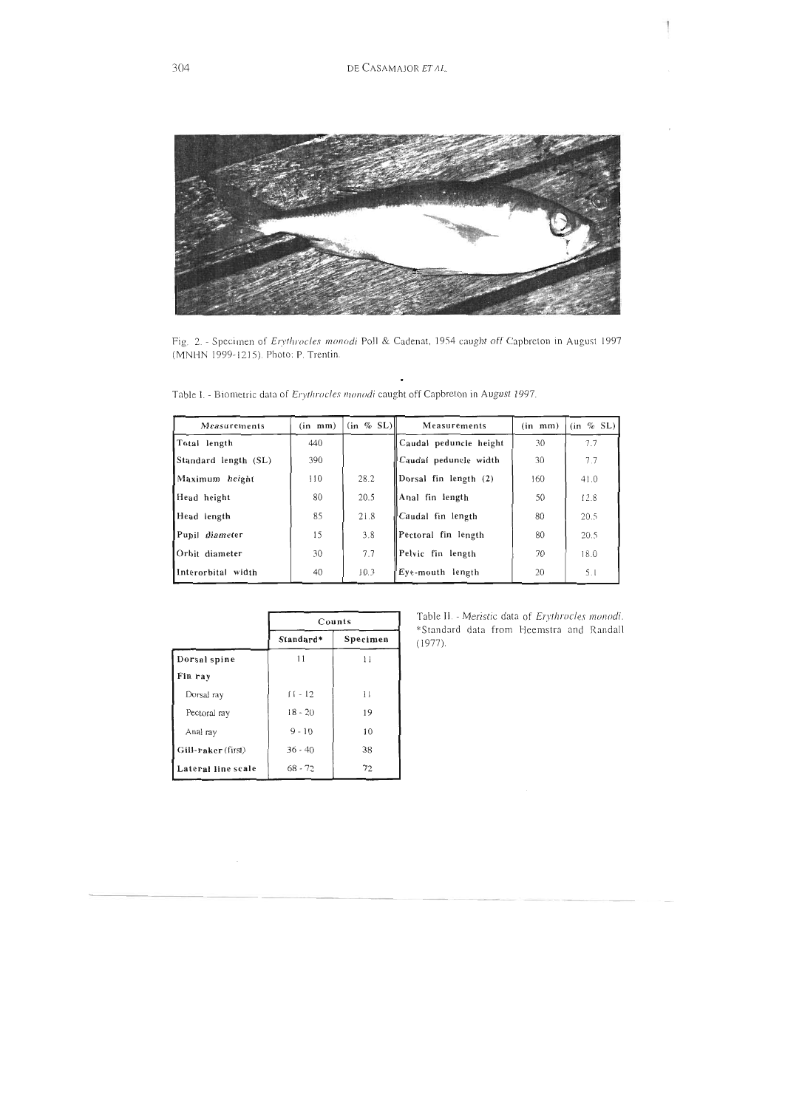DE CASAMAJOR ET AL.



Fig. 2. - Specimen of *Erythrocles monodi* Poll & Cadenat, 1954 caught off Capbreton in August 1997 (MNHN 1999-1215). Photo: P. Trentin.

 $\bullet$ 

| Table I. - Biometric data of Erythrocles monodi caught off Capbreton in August 1997. |  |  |
|--------------------------------------------------------------------------------------|--|--|
|--------------------------------------------------------------------------------------|--|--|

| Measurements         | (in m <sub>m</sub> ) | $(in \% SL)$ | Measurements           | $(in \tmm)$ | $(in \% SL)$ |
|----------------------|----------------------|--------------|------------------------|-------------|--------------|
| Total length         | 440                  |              | Caudal peduncle height | 30          | 7.7          |
| Standard length (SL) | 390                  |              | Caudal peduncle width  | 30          | 7.7          |
| Maximum height       | 110                  | 28.2         | Dorsal fin length (2)  | 160         | 41.0         |
| Head height          | 80                   | 20.5         | Anal fin length        | 50          | 12.8         |
| Head length          | 85                   | 21.8         | Caudal fin length      | 80          | 20.5         |
| Pupil diameter       | 15                   | 3.8          | Pectoral fin length    | 80          | 20.5         |
| Orbit diameter       | 30                   | 7.7          | Pelvic fin length      | 70          | 18.0         |
| Interorbital width   | 40                   | 10.3         | Eve-mouth length       | 20          | 5.1          |

|                    | Counts    |              |  |
|--------------------|-----------|--------------|--|
|                    | Standard* | Specimen     |  |
| Dorsal spine       | 11        | Ħ            |  |
| Fin ray            |           |              |  |
| Dorsal ray         | $11 - 12$ | $\mathbf{1}$ |  |
| Pectoral ray       | $18 - 20$ | 19           |  |
| Anal ray           | $9 - 10$  | 10           |  |
| Gill-raker (first) | $36 - 40$ | 38           |  |
| Lateral line scale | $68 - 72$ | 72           |  |

Table II. - Meristic data of Erythrocles monodi. \*Standard data from Heemstra and Randall  $(1977).$ 

 $\frac{1}{2}$